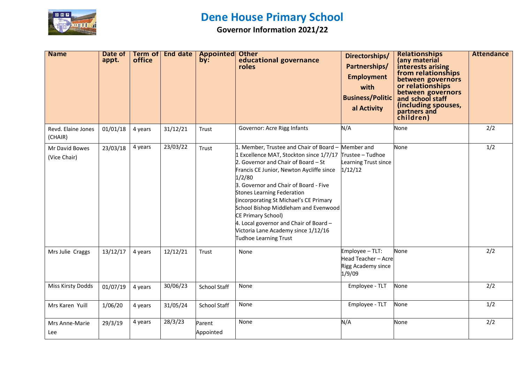

## **Dene House Primary School**

**Governor Information 2021/22**

| <b>Name</b>                    | Date of<br>appt. | Term of<br>office | End date | <b>Appointed Other</b><br>by: | educational governance<br>roles                                                                                                                                                                                                                                                                                                                                                                                                                                                              | Directorships/<br>Partnerships/<br><b>Employment</b><br>with<br><b>Business/Politic</b><br>al Activity | <b>Relationships</b><br>(any material<br>interests arising<br>from relationships<br>between governors<br>or relationships<br>between governors<br>and school staff<br>(including spouses,<br>partners and<br>children) | <b>Attendance</b> |
|--------------------------------|------------------|-------------------|----------|-------------------------------|----------------------------------------------------------------------------------------------------------------------------------------------------------------------------------------------------------------------------------------------------------------------------------------------------------------------------------------------------------------------------------------------------------------------------------------------------------------------------------------------|--------------------------------------------------------------------------------------------------------|------------------------------------------------------------------------------------------------------------------------------------------------------------------------------------------------------------------------|-------------------|
| Revd. Elaine Jones<br>(CHAIR)  | 01/01/18         | 4 years           | 31/12/21 | Trust                         | Governor: Acre Rigg Infants                                                                                                                                                                                                                                                                                                                                                                                                                                                                  | N/A                                                                                                    | None                                                                                                                                                                                                                   | 2/2               |
| Mr David Bowes<br>(Vice Chair) | 23/03/18         | 4 years           | 23/03/22 | Trust                         | 1. Member, Trustee and Chair of Board - Member and<br>1 Excellence MAT, Stockton since 1/7/17<br>2. Governor and Chair of Board - St<br>Francis CE Junior, Newton Aycliffe since<br>1/2/80<br>3. Governor and Chair of Board - Five<br><b>Stones Learning Federation</b><br>(incorporating St Michael's CE Primary<br>School Bishop Middleham and Evenwood<br>CE Primary School)<br>4. Local governor and Chair of Board $-$<br>Victoria Lane Academy since 1/12/16<br>Tudhoe Learning Trust | Trustee - Tudhoe<br>Learning Trust since<br>1/12/12                                                    | None                                                                                                                                                                                                                   | 1/2               |
| Mrs Julie Craggs               | 13/12/17         | 4 years           | 12/12/21 | Trust                         | None                                                                                                                                                                                                                                                                                                                                                                                                                                                                                         | Employee - TLT:<br>Head Teacher - Acre<br>Rigg Academy since<br>1/9/09                                 | None                                                                                                                                                                                                                   | 2/2               |
| Miss Kirsty Dodds              | 01/07/19         | 4 years           | 30/06/23 | <b>School Staff</b>           | None                                                                                                                                                                                                                                                                                                                                                                                                                                                                                         | Employee - TLT                                                                                         | None                                                                                                                                                                                                                   | 2/2               |
| Mrs Karen Yuill                | 1/06/20          | 4 years           | 31/05/24 | <b>School Staff</b>           | None                                                                                                                                                                                                                                                                                                                                                                                                                                                                                         | Employee - TLT                                                                                         | None                                                                                                                                                                                                                   | 1/2               |
| Mrs Anne-Marie<br>Lee          | 29/3/19          | 4 years           | 28/3/23  | Parent<br>Appointed           | None                                                                                                                                                                                                                                                                                                                                                                                                                                                                                         | N/A                                                                                                    | None                                                                                                                                                                                                                   | 2/2               |